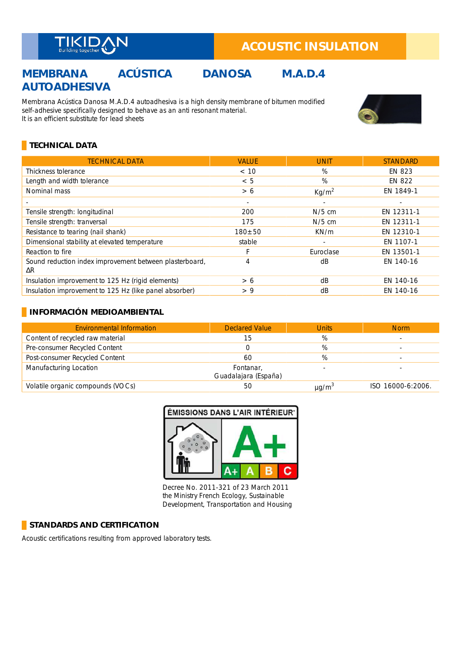

# **ACOUSTIC INSULATION**

# **MEMBRANA ACÚSTICA DANOSA M.A.D.4 AUTOADHESIVA**

Membrana Acústica Danosa M.A.D.4 autoadhesiva is a high density membrane of bitumen modified self-adhesive specifically designed to behave as an anti resonant material. It is an efficient substitute for lead sheets



### **TECHNICAL DATA**

| <b>TECHNICAL DATA</b>                                                 | <b>VALUE</b>             | <b>UNIT</b>       | <b>STANDARD</b> |
|-----------------------------------------------------------------------|--------------------------|-------------------|-----------------|
| Thickness tolerance                                                   | < 10                     | %                 | EN 823          |
| Length and width tolerance                                            | < 5                      | %                 | EN 822          |
| Nominal mass                                                          | > 6                      | Kg/m <sup>2</sup> | EN 1849-1       |
|                                                                       | $\overline{\phantom{a}}$ | ÷                 |                 |
| Tensile strength: longitudinal                                        | 200                      | $N/5$ cm          | EN 12311-1      |
| Tensile strength: tranversal                                          | 175                      | $N/5$ cm          | EN 12311-1      |
| Resistance to tearing (nail shank)                                    | $180 + 50$               | KN/m              | EN 12310-1      |
| Dimensional stability at elevated temperature                         | stable                   | ٠                 | EN 1107-1       |
| Reaction to fire                                                      | F                        | Euroclase         | EN 13501-1      |
| Sound reduction index improvement between plasterboard,<br>$\Delta R$ | 4                        | dB                | EN 140-16       |
| Insulation improvement to 125 Hz (rigid elements)                     | > 6                      | dB                | EN 140-16       |
| Insulation improvement to 125 Hz (like panel absorber)                | > 9                      | dB                | EN 140-16       |

#### **INFORMACIÓN MEDIOAMBIENTAL**

| <b>Environmental Information</b>  | <b>Declared Value</b>             | <b>Units</b>           | <b>Norm</b>       |
|-----------------------------------|-----------------------------------|------------------------|-------------------|
| Content of recycled raw material  | 15                                | %                      |                   |
| Pre-consumer Recycled Content     |                                   | %                      |                   |
| Post-consumer Recycled Content    | 60                                | %                      |                   |
| Manufacturing Location            | Fontanar,<br>Guadalajara (España) |                        |                   |
| Volatile organic compounds (VOCs) | 50                                | $\mu$ g/m <sup>3</sup> | ISO 16000-6:2006. |



Decree No. 2011-321 of 23 March 2011 the Ministry French Ecology, Sustainable Development, Transportation and Housing

#### **STANDARDS AND CERTIFICATION**

Acoustic certifications resulting from approved laboratory tests. \_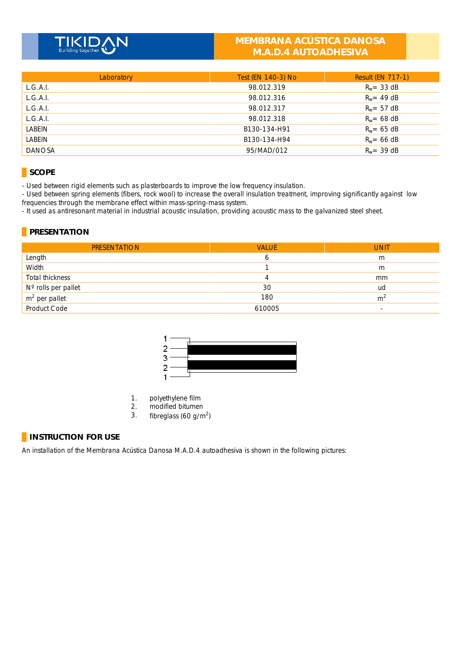# **MEMBRANA ACÚSTICA DANOSA M.A.D.4 AUTOADHESIVA**

| Laboratory    | Test (EN 140-3) No | <b>Result (EN 717-1)</b> |
|---------------|--------------------|--------------------------|
| L.G.A.I.      | 98.012.319         | $R_w = 33$ dB            |
| L.G.A.I.      | 98.012.316         | $R_w = 49$ dB            |
| L.G.A.I.      | 98.012.317         | $R_w = 57$ dB            |
| L.G.A.I.      | 98.012.318         | $R_w = 68$ dB            |
| LABEIN        | B130-134-H91       | $R_w = 65$ dB            |
| LABEIN        | B130-134-H94       | $R_w = 66$ dB            |
| <b>DANOSA</b> | 95/MAD/012         | $R_w = 39$ dB            |

## **SCOPE**

- Used between rigid elements such as plasterboards to improve the low frequency insulation.

- Used between spring elements (fibers, rock wool) to increase the overall insulation treatment, improving significantly against low frequencies through the membrane effect within mass-spring-mass system. \_

- It used as antiresonant material in industrial acoustic insulation, providing acoustic mass to the galvanized steel sheet.

## **PRESENTATION**

| <b>PRESENTATION</b> | <b>VALUE</b> | <b>UNIT</b>    |
|---------------------|--------------|----------------|
| Length              | ь            | m              |
| Width               |              | m              |
| Total thickness     |              | mm             |
| N° rolls per pallet | 30           | ud             |
| $m2$ per pallet     | 180          | m <sup>2</sup> |
| Product Code        | 610005       |                |



- 1. polyethylene film
- 2. modified bitumen<br>3. fibrealass  $(60 \text{ g/m})$
- 3. fibreglass  $(60 g/m<sup>2</sup>)$

### **INSTRUCTION FOR USE**

An installation of the Membrana Acústica Danosa M.A.D.4 autoadhesiva is shown in the following pictures: